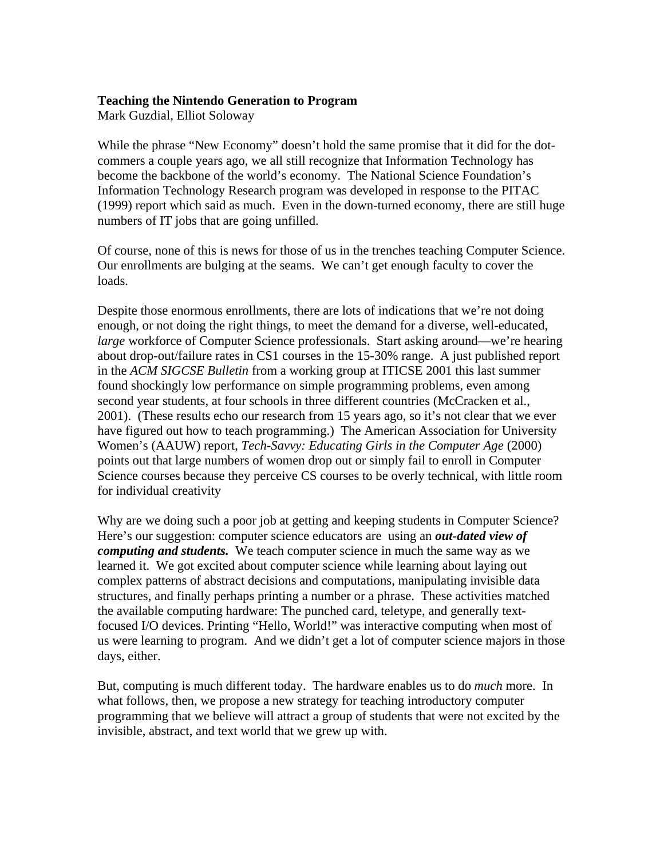#### **Teaching the Nintendo Generation to Program**

Mark Guzdial, Elliot Soloway

While the phrase "New Economy" doesn't hold the same promise that it did for the dotcommers a couple years ago, we all still recognize that Information Technology has become the backbone of the world's economy. The National Science Foundation's Information Technology Research program was developed in response to the PITAC (1999) report which said as much. Even in the down-turned economy, there are still huge numbers of IT jobs that are going unfilled.

Of course, none of this is news for those of us in the trenches teaching Computer Science. Our enrollments are bulging at the seams. We can't get enough faculty to cover the loads.

Despite those enormous enrollments, there are lots of indications that we're not doing enough, or not doing the right things, to meet the demand for a diverse, well-educated, *large* workforce of Computer Science professionals. Start asking around—we're hearing about drop-out/failure rates in CS1 courses in the 15-30% range. A just published report in the *ACM SIGCSE Bulletin* from a working group at ITICSE 2001 this last summer found shockingly low performance on simple programming problems, even among second year students, at four schools in three different countries (McCracken et al., 2001). (These results echo our research from 15 years ago, so it's not clear that we ever have figured out how to teach programming.) The American Association for University Women's (AAUW) report, *Tech-Savvy: Educating Girls in the Computer Age* (2000) points out that large numbers of women drop out or simply fail to enroll in Computer Science courses because they perceive CS courses to be overly technical, with little room for individual creativity

Why are we doing such a poor job at getting and keeping students in Computer Science? Here's our suggestion: computer science educators are using an *out-dated view of computing and students.* We teach computer science in much the same way as we learned it. We got excited about computer science while learning about laying out complex patterns of abstract decisions and computations, manipulating invisible data structures, and finally perhaps printing a number or a phrase. These activities matched the available computing hardware: The punched card, teletype, and generally textfocused I/O devices. Printing "Hello, World!" was interactive computing when most of us were learning to program. And we didn't get a lot of computer science majors in those days, either.

But, computing is much different today. The hardware enables us to do *much* more. In what follows, then, we propose a new strategy for teaching introductory computer programming that we believe will attract a group of students that were not excited by the invisible, abstract, and text world that we grew up with.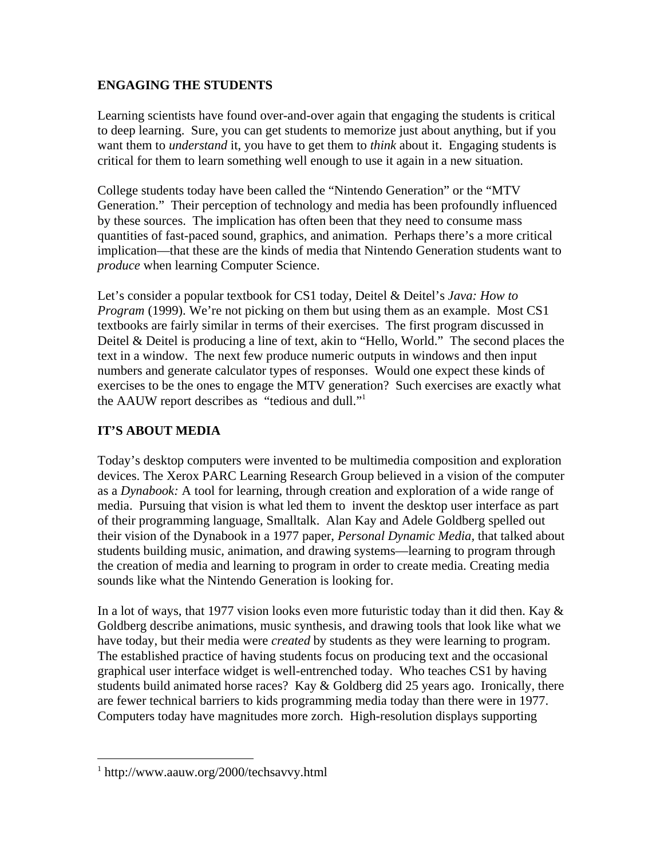# **ENGAGING THE STUDENTS**

Learning scientists have found over-and-over again that engaging the students is critical to deep learning. Sure, you can get students to memorize just about anything, but if you want them to *understand* it, you have to get them to *think* about it. Engaging students is critical for them to learn something well enough to use it again in a new situation.

College students today have been called the "Nintendo Generation" or the "MTV Generation." Their perception of technology and media has been profoundly influenced by these sources. The implication has often been that they need to consume mass quantities of fast-paced sound, graphics, and animation. Perhaps there's a more critical implication—that these are the kinds of media that Nintendo Generation students want to *produce* when learning Computer Science.

Let's consider a popular textbook for CS1 today, Deitel & Deitel's *Java: How to Program* (1999). We're not picking on them but using them as an example. Most CS1 textbooks are fairly similar in terms of their exercises. The first program discussed in Deitel & Deitel is producing a line of text, akin to "Hello, World." The second places the text in a window. The next few produce numeric outputs in windows and then input numbers and generate calculator types of responses. Would one expect these kinds of exercises to be the ones to engage the MTV generation? Such exercises are exactly what the AAUW report describes as "tedious and dull."1

# **IT'S ABOUT MEDIA**

Today's desktop computers were invented to be multimedia composition and exploration devices. The Xerox PARC Learning Research Group believed in a vision of the computer as a *Dynabook:* A tool for learning, through creation and exploration of a wide range of media. Pursuing that vision is what led them to invent the desktop user interface as part of their programming language, Smalltalk. Alan Kay and Adele Goldberg spelled out their vision of the Dynabook in a 1977 paper, *Personal Dynamic Media,* that talked about students building music, animation, and drawing systems—learning to program through the creation of media and learning to program in order to create media. Creating media sounds like what the Nintendo Generation is looking for.

In a lot of ways, that 1977 vision looks even more futuristic today than it did then. Kay & Goldberg describe animations, music synthesis, and drawing tools that look like what we have today, but their media were *created* by students as they were learning to program. The established practice of having students focus on producing text and the occasional graphical user interface widget is well-entrenched today. Who teaches CS1 by having students build animated horse races? Kay & Goldberg did 25 years ago. Ironically, there are fewer technical barriers to kids programming media today than there were in 1977. Computers today have magnitudes more zorch. High-resolution displays supporting

 $\frac{1}{1}$ http://www.aauw.org/2000/techsavvy.html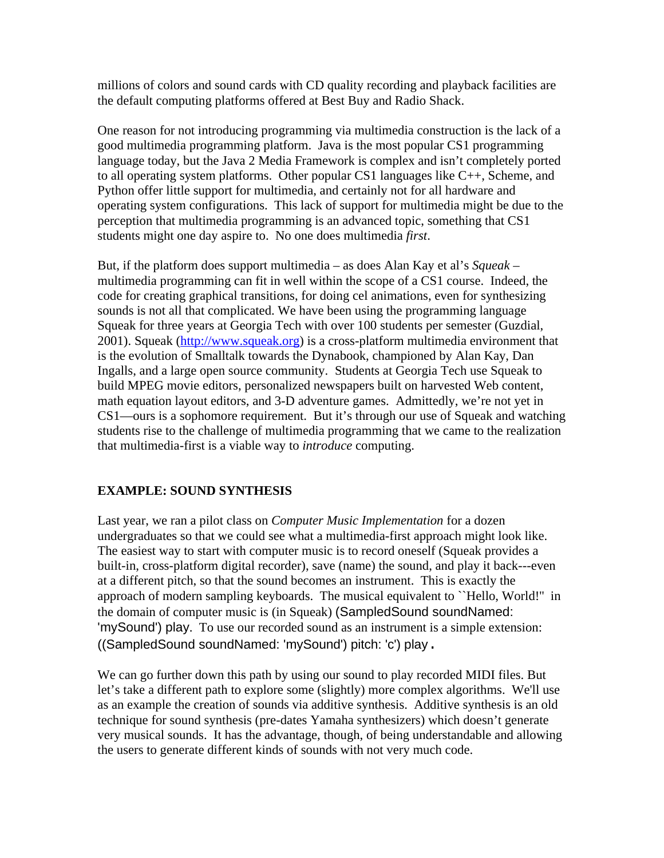millions of colors and sound cards with CD quality recording and playback facilities are the default computing platforms offered at Best Buy and Radio Shack.

One reason for not introducing programming via multimedia construction is the lack of a good multimedia programming platform. Java is the most popular CS1 programming language today, but the Java 2 Media Framework is complex and isn't completely ported to all operating system platforms. Other popular CS1 languages like C++, Scheme, and Python offer little support for multimedia, and certainly not for all hardware and operating system configurations. This lack of support for multimedia might be due to the perception that multimedia programming is an advanced topic, something that CS1 students might one day aspire to. No one does multimedia *first*.

But, if the platform does support multimedia – as does Alan Kay et al's *Squeak* – multimedia programming can fit in well within the scope of a CS1 course. Indeed, the code for creating graphical transitions, for doing cel animations, even for synthesizing sounds is not all that complicated. We have been using the programming language Squeak for three years at Georgia Tech with over 100 students per semester (Guzdial, 2001). Squeak (http://www.squeak.org) is a cross-platform multimedia environment that is the evolution of Smalltalk towards the Dynabook, championed by Alan Kay, Dan Ingalls, and a large open source community. Students at Georgia Tech use Squeak to build MPEG movie editors, personalized newspapers built on harvested Web content, math equation layout editors, and 3-D adventure games. Admittedly, we're not yet in CS1—ours is a sophomore requirement. But it's through our use of Squeak and watching students rise to the challenge of multimedia programming that we came to the realization that multimedia-first is a viable way to *introduce* computing.

# **EXAMPLE: SOUND SYNTHESIS**

Last year, we ran a pilot class on *Computer Music Implementation* for a dozen undergraduates so that we could see what a multimedia-first approach might look like. The easiest way to start with computer music is to record oneself (Squeak provides a built-in, cross-platform digital recorder), save (name) the sound, and play it back---even at a different pitch, so that the sound becomes an instrument. This is exactly the approach of modern sampling keyboards. The musical equivalent to ``Hello, World!'' in the domain of computer music is (in Squeak) (SampledSound soundNamed: 'mySound') play. To use our recorded sound as an instrument is a simple extension: ((SampledSound soundNamed: 'mySound') pitch: 'c') play.

We can go further down this path by using our sound to play recorded MIDI files. But let's take a different path to explore some (slightly) more complex algorithms. We'll use as an example the creation of sounds via additive synthesis. Additive synthesis is an old technique for sound synthesis (pre-dates Yamaha synthesizers) which doesn't generate very musical sounds. It has the advantage, though, of being understandable and allowing the users to generate different kinds of sounds with not very much code.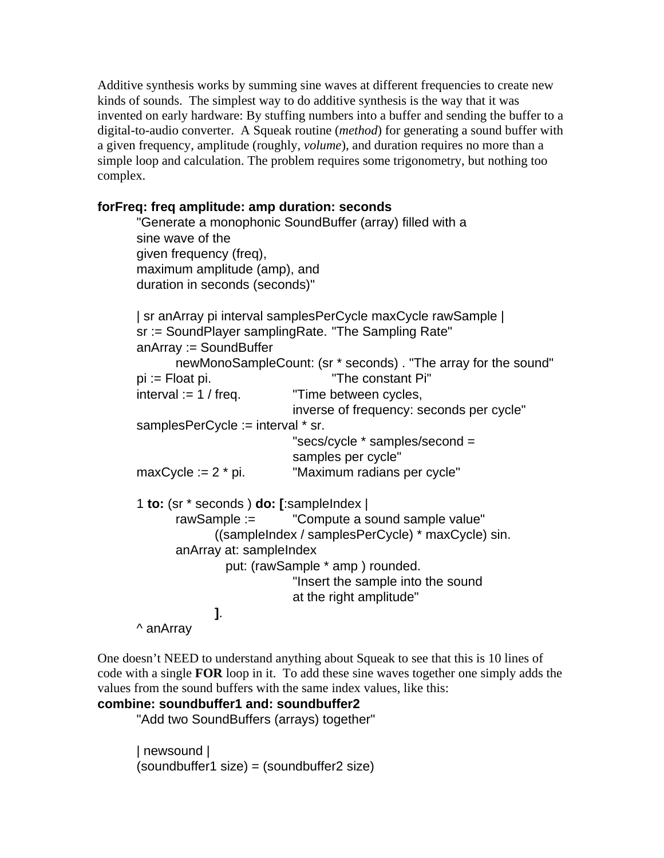Additive synthesis works by summing sine waves at different frequencies to create new kinds of sounds. The simplest way to do additive synthesis is the way that it was invented on early hardware: By stuffing numbers into a buffer and sending the buffer to a digital-to-audio converter. A Squeak routine (*method*) for generating a sound buffer with a given frequency, amplitude (roughly, *volume*), and duration requires no more than a simple loop and calculation. The problem requires some trigonometry, but nothing too complex.

# **forFreq: freq amplitude: amp duration: seconds**

```
"Generate a monophonic SoundBuffer (array) filled with a
sine wave of the
given frequency (freq),
maximum amplitude (amp), and
duration in seconds (seconds)"
| sr anArray pi interval samplesPerCycle maxCycle rawSample |
sr := SoundPlayer samplingRate. "The Sampling Rate"
anArray := SoundBuffer
      newMonoSampleCount: (sr * seconds) . "The array for the sound"
pi := Float pi. "The constant Pi"
interval := 1 / freq. "Time between cycles,
                         inverse of frequency: seconds per cycle"
samplesPerCycle := interval * sr.
                         "secs/cycle * samples/second =
                         samples per cycle"
maxCycle := 2 * pi. "Maximum radians per cycle"
1 to: (sr * seconds ) do: [:sampleIndex |
      rawSample := "Compute a sound sample value"
            ((sampleIndex / samplesPerCycle) * maxCycle) sin.
      anArray at: sampleIndex 
               put: (rawSample * amp ) rounded.
                         "Insert the sample into the sound
                         at the right amplitude"
            ].
^ anArray
```
One doesn't NEED to understand anything about Squeak to see that this is 10 lines of code with a single **FOR** loop in it. To add these sine waves together one simply adds the values from the sound buffers with the same index values, like this:

#### **combine: soundbuffer1 and: soundbuffer2**

"Add two SoundBuffers (arrays) together"

| newsound | (soundbuffer1 size) = (soundbuffer2 size)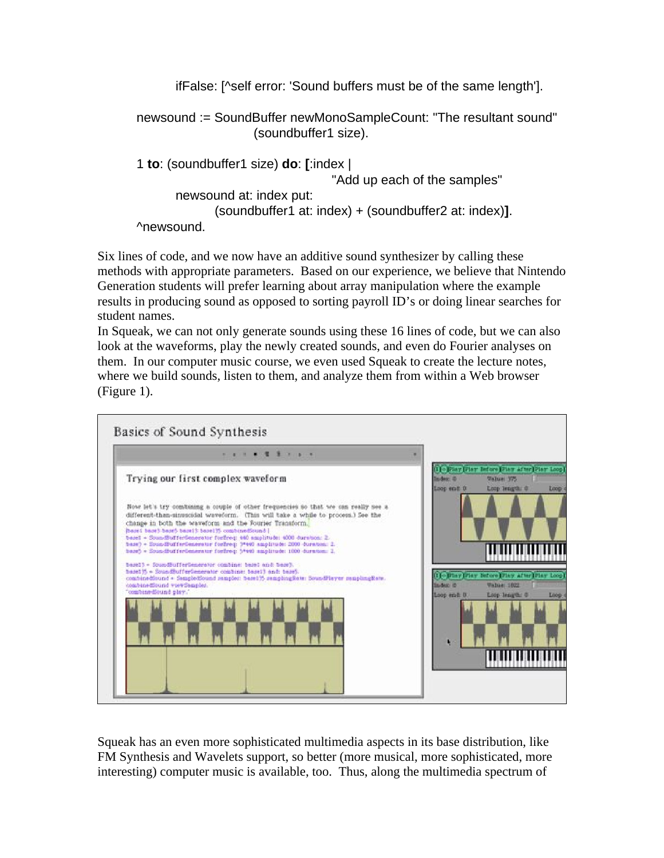ifFalse: [^self error: 'Sound buffers must be of the same length'].

newsound := SoundBuffer newMonoSampleCount: "The resultant sound" (soundbuffer1 size).

```
1 to: (soundbuffer1 size) do: [:index |
                                  "Add up each of the samples"
      newsound at: index put:
             (soundbuffer1 at: index) + (soundbuffer2 at: index)].
^newsound.
```
Six lines of code, and we now have an additive sound synthesizer by calling these methods with appropriate parameters. Based on our experience, we believe that Nintendo Generation students will prefer learning about array manipulation where the example results in producing sound as opposed to sorting payroll ID's or doing linear searches for student names.

In Squeak, we can not only generate sounds using these 16 lines of code, but we can also look at the waveforms, play the newly created sounds, and even do Fourier analyses on them. In our computer music course, we even used Squeak to create the lecture notes, where we build sounds, listen to them, and analyze them from within a Web browser (Figure 1).



Squeak has an even more sophisticated multimedia aspects in its base distribution, like FM Synthesis and Wavelets support, so better (more musical, more sophisticated, more interesting) computer music is available, too. Thus, along the multimedia spectrum of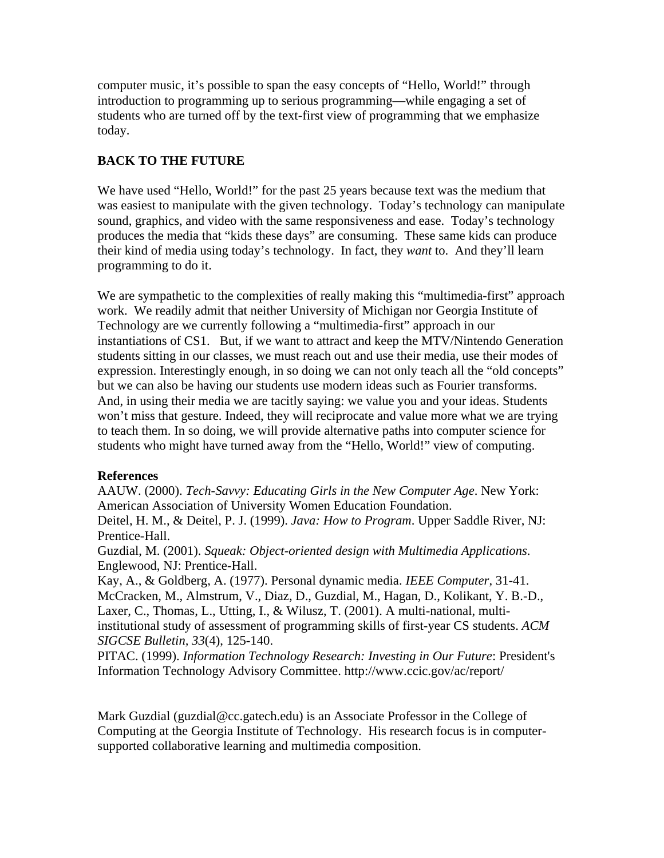computer music, it's possible to span the easy concepts of "Hello, World!" through introduction to programming up to serious programming—while engaging a set of students who are turned off by the text-first view of programming that we emphasize today.

# **BACK TO THE FUTURE**

We have used "Hello, World!" for the past 25 years because text was the medium that was easiest to manipulate with the given technology. Today's technology can manipulate sound, graphics, and video with the same responsiveness and ease. Today's technology produces the media that "kids these days" are consuming. These same kids can produce their kind of media using today's technology. In fact, they *want* to. And they'll learn programming to do it.

We are sympathetic to the complexities of really making this "multimedia-first" approach work. We readily admit that neither University of Michigan nor Georgia Institute of Technology are we currently following a "multimedia-first" approach in our instantiations of CS1. But, if we want to attract and keep the MTV/Nintendo Generation students sitting in our classes, we must reach out and use their media, use their modes of expression. Interestingly enough, in so doing we can not only teach all the "old concepts" but we can also be having our students use modern ideas such as Fourier transforms. And, in using their media we are tacitly saying: we value you and your ideas. Students won't miss that gesture. Indeed, they will reciprocate and value more what we are trying to teach them. In so doing, we will provide alternative paths into computer science for students who might have turned away from the "Hello, World!" view of computing.

# **References**

AAUW. (2000). *Tech-Savvy: Educating Girls in the New Computer Age*. New York: American Association of University Women Education Foundation.

Deitel, H. M., & Deitel, P. J. (1999). *Java: How to Program*. Upper Saddle River, NJ: Prentice-Hall.

Guzdial, M. (2001). *Squeak: Object-oriented design with Multimedia Applications*. Englewood, NJ: Prentice-Hall.

Kay, A., & Goldberg, A. (1977). Personal dynamic media. *IEEE Computer*, 31-41. McCracken, M., Almstrum, V., Diaz, D., Guzdial, M., Hagan, D., Kolikant, Y. B.-D., Laxer, C., Thomas, L., Utting, I., & Wilusz, T. (2001). A multi-national, multiinstitutional study of assessment of programming skills of first-year CS students. *ACM SIGCSE Bulletin, 33*(4), 125-140.

PITAC. (1999). *Information Technology Research: Investing in Our Future*: President's Information Technology Advisory Committee. http://www.ccic.gov/ac/report/

Mark Guzdial (guzdial@cc.gatech.edu) is an Associate Professor in the College of Computing at the Georgia Institute of Technology. His research focus is in computersupported collaborative learning and multimedia composition.